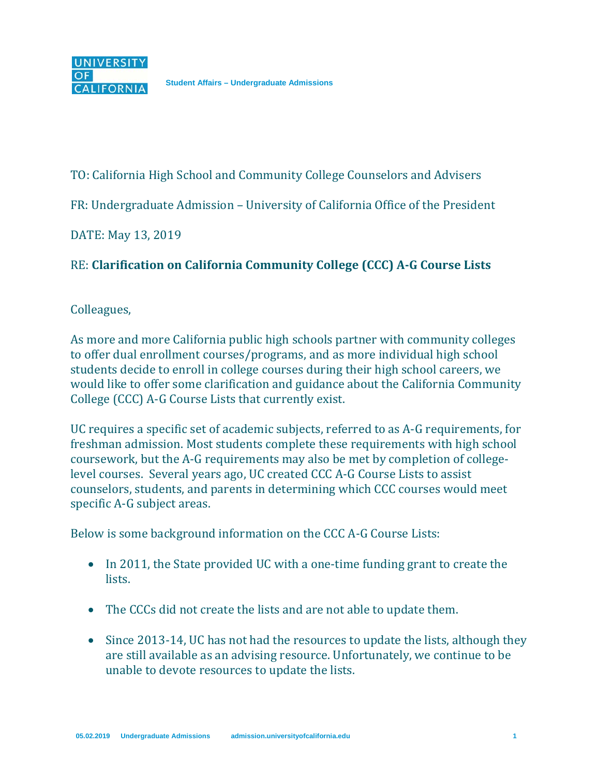TO: California High School and Community College Counselors and Advisers

FR: Undergraduate Admission – University of California Office of the President

DATE: May 13, 2019

## RE: **Clarification on California Community College (CCC) A-G Course Lists**

## Colleagues,

As more and more California public high schools partner with community colleges to offer dual enrollment courses/programs, and as more individual high school students decide to enroll in college courses during their high school careers, we would like to offer some clarification and guidance about the California Community College (CCC) A-G Course Lists that currently exist.

UC requires a specific set of academic subjects, referred to as A-G requirements, for freshman admission. Most students complete these requirements with high school coursework, but the A-G requirements may also be met by completion of collegelevel courses. Several years ago, UC created CCC A-G Course Lists to assist counselors, students, and parents in determining which CCC courses would meet specific A-G subject areas.

Below is some background information on the CCC A-G Course Lists:

- In 2011, the State provided UC with a one-time funding grant to create the lists.
- The CCCs did not create the lists and are not able to update them.
- Since 2013-14, UC has not had the resources to update the lists, although they are still available as an advising resource. Unfortunately, we continue to be unable to devote resources to update the lists.